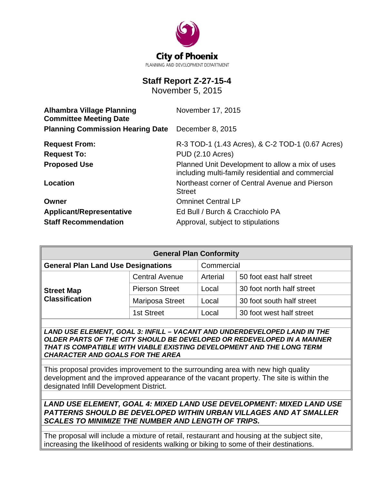

# **Staff Report Z-27-15-4**

November 5, 2015

| <b>Alhambra Village Planning</b><br><b>Committee Meeting Date</b> | November 17, 2015                                                                                    |  |
|-------------------------------------------------------------------|------------------------------------------------------------------------------------------------------|--|
| <b>Planning Commission Hearing Date</b>                           | December 8, 2015                                                                                     |  |
| <b>Request From:</b>                                              | R-3 TOD-1 (1.43 Acres), & C-2 TOD-1 (0.67 Acres)                                                     |  |
| <b>Request To:</b>                                                | PUD (2.10 Acres)                                                                                     |  |
| <b>Proposed Use</b>                                               | Planned Unit Development to allow a mix of uses<br>including multi-family residential and commercial |  |
| Location                                                          | Northeast corner of Central Avenue and Pierson<br><b>Street</b>                                      |  |
| Owner                                                             | <b>Omninet Central LP</b>                                                                            |  |
| <b>Applicant/Representative</b>                                   | Ed Bull / Burch & Cracchiolo PA                                                                      |  |
| <b>Staff Recommendation</b>                                       | Approval, subject to stipulations                                                                    |  |

| <b>General Plan Conformity</b>             |                       |            |                           |  |
|--------------------------------------------|-----------------------|------------|---------------------------|--|
| <b>General Plan Land Use Designations</b>  |                       | Commercial |                           |  |
| <b>Street Map</b><br><b>Classification</b> | <b>Central Avenue</b> | Arterial   | 50 foot east half street  |  |
|                                            | <b>Pierson Street</b> | Local      | 30 foot north half street |  |
|                                            | Mariposa Street       | Local      | 30 foot south half street |  |
|                                            | 1st Street            | Local      | 30 foot west half street  |  |

*LAND USE ELEMENT, GOAL 3: INFILL – VACANT AND UNDERDEVELOPED LAND IN THE OLDER PARTS OF THE CITY SHOULD BE DEVELOPED OR REDEVELOPED IN A MANNER THAT IS COMPATIBLE WITH VIABLE EXISTING DEVELOPMENT AND THE LONG TERM CHARACTER AND GOALS FOR THE AREA*

This proposal provides improvement to the surrounding area with new high quality development and the improved appearance of the vacant property. The site is within the designated Infill Development District.

*LAND USE ELEMENT, GOAL 4: MIXED LAND USE DEVELOPMENT: MIXED LAND USE PATTERNS SHOULD BE DEVELOPED WITHIN URBAN VILLAGES AND AT SMALLER SCALES TO MINIMIZE THE NUMBER AND LENGTH OF TRIPS.*

The proposal will include a mixture of retail, restaurant and housing at the subject site, increasing the likelihood of residents walking or biking to some of their destinations.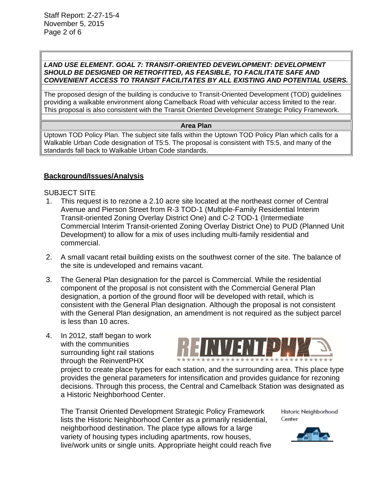#### *LAND USE ELEMENT. GOAL 7: TRANSIT-ORIENTED DEVEWLOPMENT: DEVELOPMENT SHOULD BE DESIGNED OR RETROFITTED, AS FEASIBLE, TO FACILITATE SAFE AND CONVENIENT ACCESS TO TRANSIT FACILITATES BY ALL EXISTING AND POTENTIAL USERS.*

The proposed design of the building is conducive to Transit-Oriented Development (TOD) guidelines providing a walkable environment along Camelback Road with vehicular access limited to the rear. This proposal is also consistent with the Transit Oriented Development Strategic Policy Framework.

#### **Area Plan**

Uptown TOD Policy Plan. The subject site falls within the Uptown TOD Policy Plan which calls for a Walkable Urban Code designation of T5:5. The proposal is consistent with T5:5, and many of the standards fall back to Walkable Urban Code standards.

#### **Background/Issues/Analysis**

SUBJECT SITE

- 1. This request is to rezone a 2.10 acre site located at the northeast corner of Central Avenue and Pierson Street from R-3 TOD-1 (Multiple-Family Residential Interim Transit-oriented Zoning Overlay District One) and C-2 TOD-1 (Intermediate Commercial Interim Transit-oriented Zoning Overlay District One) to PUD (Planned Unit Development) to allow for a mix of uses including multi-family residential and commercial.
- 2. A small vacant retail building exists on the southwest corner of the site. The balance of the site is undeveloped and remains vacant.
- 3. The General Plan designation for the parcel is Commercial. While the residential component of the proposal is not consistent with the Commercial General Plan designation, a portion of the ground floor will be developed with retail, which is consistent with the General Plan designation. Although the proposal is not consistent with the General Plan designation, an amendment is not required as the subject parcel is less than 10 acres.
- 4. In 2012, staff began to work with the communities surrounding light rail stations through the ReinventPHX



project to create place types for each station, and the surrounding area. This place type provides the general parameters for intensification and provides guidance for rezoning decisions. Through this process, the Central and Camelback Station was designated as a Historic Neighborhood Center.

The Transit Oriented Development Strategic Policy Framework lists the Historic Neighborhood Center as a primarily residential, neighborhood destination. The place type allows for a large variety of housing types including apartments, row houses, live/work units or single units. Appropriate height could reach five

Historic Neighborhood Center

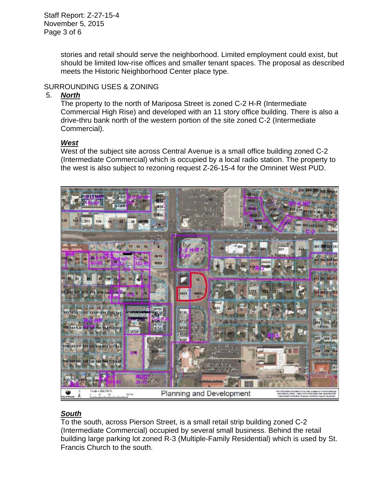Staff Report: Z-27-15-4 November 5, 2015 Page 3 of 6

> stories and retail should serve the neighborhood. Limited employment could exist, but should be limited low-rise offices and smaller tenant spaces. The proposal as described meets the Historic Neighborhood Center place type.

### SURROUNDING USES & ZONING

#### 5. *North*

The property to the north of Mariposa Street is zoned C-2 H-R (Intermediate Commercial High Rise) and developed with an 11 story office building. There is also a drive-thru bank north of the western portion of the site zoned C-2 (Intermediate Commercial).

#### *West*

West of the subject site across Central Avenue is a small office building zoned C-2 (Intermediate Commercial) which is occupied by a local radio station. The property to the west is also subject to rezoning request Z-26-15-4 for the Omninet West PUD.



### *South*

To the south, across Pierson Street, is a small retail strip building zoned C-2 (Intermediate Commercial) occupied by several small business. Behind the retail building large parking lot zoned R-3 (Multiple-Family Residential) which is used by St. Francis Church to the south.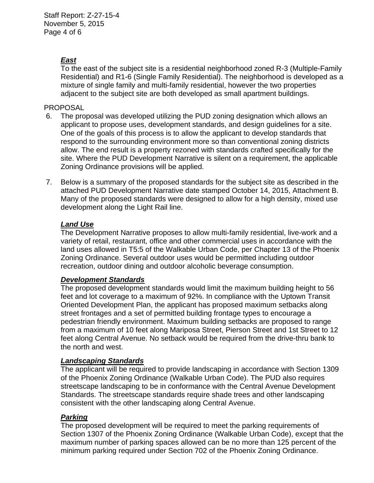## *East*

To the east of the subject site is a residential neighborhood zoned R-3 (Multiple-Family Residential) and R1-6 (Single Family Residential). The neighborhood is developed as a mixture of single family and multi-family residential, however the two properties adjacent to the subject site are both developed as small apartment buildings.

### PROPOSAL

- 6. The proposal was developed utilizing the PUD zoning designation which allows an applicant to propose uses, development standards, and design guidelines for a site. One of the goals of this process is to allow the applicant to develop standards that respond to the surrounding environment more so than conventional zoning districts allow. The end result is a property rezoned with standards crafted specifically for the site. Where the PUD Development Narrative is silent on a requirement, the applicable Zoning Ordinance provisions will be applied.
- 7. Below is a summary of the proposed standards for the subject site as described in the attached PUD Development Narrative date stamped October 14, 2015, Attachment B. Many of the proposed standards were designed to allow for a high density, mixed use development along the Light Rail line.

### *Land Use*

The Development Narrative proposes to allow multi-family residential, live-work and a variety of retail, restaurant, office and other commercial uses in accordance with the land uses allowed in T5:5 of the Walkable Urban Code, per Chapter 13 of the Phoenix Zoning Ordinance. Several outdoor uses would be permitted including outdoor recreation, outdoor dining and outdoor alcoholic beverage consumption.

#### *Development Standards*

The proposed development standards would limit the maximum building height to 56 feet and lot coverage to a maximum of 92%. In compliance with the Uptown Transit Oriented Development Plan, the applicant has proposed maximum setbacks along street frontages and a set of permitted building frontage types to encourage a pedestrian friendly environment. Maximum building setbacks are proposed to range from a maximum of 10 feet along Mariposa Street, Pierson Street and 1st Street to 12 feet along Central Avenue. No setback would be required from the drive-thru bank to the north and west.

#### *Landscaping Standards*

The applicant will be required to provide landscaping in accordance with Section 1309 of the Phoenix Zoning Ordinance (Walkable Urban Code). The PUD also requires streetscape landscaping to be in conformance with the Central Avenue Development Standards. The streetscape standards require shade trees and other landscaping consistent with the other landscaping along Central Avenue.

### *Parking*

The proposed development will be required to meet the parking requirements of Section 1307 of the Phoenix Zoning Ordinance (Walkable Urban Code), except that the maximum number of parking spaces allowed can be no more than 125 percent of the minimum parking required under Section 702 of the Phoenix Zoning Ordinance.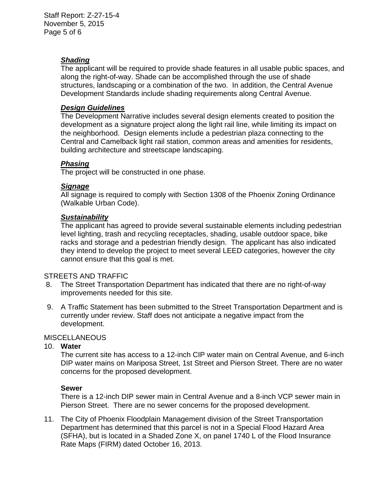Staff Report: Z-27-15-4 November 5, 2015 Page 5 of 6

### *Shading*

The applicant will be required to provide shade features in all usable public spaces, and along the right-of-way. Shade can be accomplished through the use of shade structures, landscaping or a combination of the two. In addition, the Central Avenue Development Standards include shading requirements along Central Avenue.

### *Design Guidelines*

The Development Narrative includes several design elements created to position the development as a signature project along the light rail line, while limiting its impact on the neighborhood. Design elements include a pedestrian plaza connecting to the Central and Camelback light rail station, common areas and amenities for residents, building architecture and streetscape landscaping.

### *Phasing*

The project will be constructed in one phase.

### *Signage*

All signage is required to comply with Section 1308 of the Phoenix Zoning Ordinance (Walkable Urban Code).

### *Sustainability*

The applicant has agreed to provide several sustainable elements including pedestrian level lighting, trash and recycling receptacles, shading, usable outdoor space, bike racks and storage and a pedestrian friendly design. The applicant has also indicated they intend to develop the project to meet several LEED categories, however the city cannot ensure that this goal is met.

#### STREETS AND TRAFFIC

- 8. The Street Transportation Department has indicated that there are no right-of-way improvements needed for this site.
- 9. A Traffic Statement has been submitted to the Street Transportation Department and is currently under review. Staff does not anticipate a negative impact from the development.

### **MISCELLANEOUS**

#### 10. **Water**

The current site has access to a 12-inch CIP water main on Central Avenue, and 6-inch DIP water mains on Mariposa Street, 1st Street and Pierson Street. There are no water concerns for the proposed development.

#### **Sewer**

There is a 12-inch DIP sewer main in Central Avenue and a 8-inch VCP sewer main in Pierson Street. There are no sewer concerns for the proposed development.

11. The City of Phoenix Floodplain Management division of the Street Transportation Department has determined that this parcel is not in a Special Flood Hazard Area (SFHA), but is located in a Shaded Zone X, on panel 1740 L of the Flood Insurance Rate Maps (FIRM) dated October 16, 2013.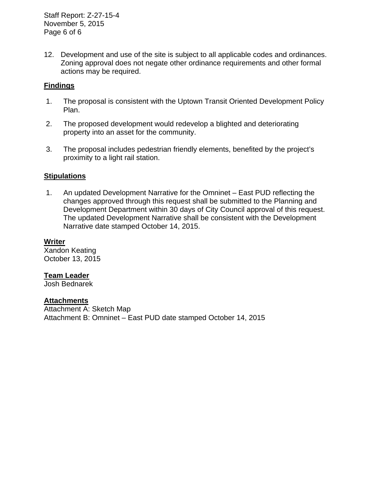Staff Report: Z-27-15-4 November 5, 2015 Page 6 of 6

12. Development and use of the site is subject to all applicable codes and ordinances. Zoning approval does not negate other ordinance requirements and other formal actions may be required.

### **Findings**

- 1. The proposal is consistent with the Uptown Transit Oriented Development Policy Plan.
- 2. The proposed development would redevelop a blighted and deteriorating property into an asset for the community.
- 3. The proposal includes pedestrian friendly elements, benefited by the project's proximity to a light rail station.

### **Stipulations**

 1. An updated Development Narrative for the Omninet – East PUD reflecting the changes approved through this request shall be submitted to the Planning and Development Department within 30 days of City Council approval of this request. The updated Development Narrative shall be consistent with the Development Narrative date stamped October 14, 2015.

#### **Writer**

Xandon Keating October 13, 2015

#### **Team Leader**

Josh Bednarek

#### **Attachments**

Attachment A: Sketch Map Attachment B: Omninet – East PUD date stamped October 14, 2015